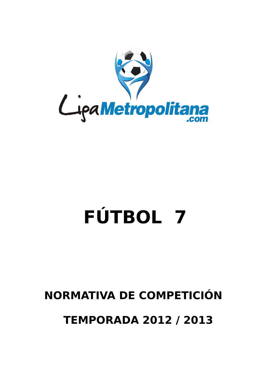

# **FÚTBOL 7**

# **NORMATIVA DE COMPETICIÓN**

 **TEMPORADA 2012 / 2013**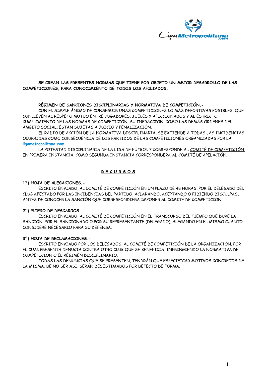

#### **SE CREAN LAS PRESENTES NORMAS QUE TIENE POR OBJETO UN MEJOR DESARROLLO DE LAS COMPETICIONES, PARA CONOCIMIENTO DE TODOS LOS AFILIADOS.**

#### **RÉGIMEN DE SANCIONES DISCIPLINARIAS Y NORMATIVA DE COMPETICIÓN.-**

CON EL SIMPLE ÁNIMO DE CONSEGUIR UNAS COMPETICIONES LO MÁS DEPORTIVAS POSIBLES, QUE CONLLEVEN AL RESPETO MUTUO ENTRE JUGADORES, JUECES Y AFICCIONADOS Y AL ESTRICTO CUMPLIMIENTO DE LAS NORMAS DE COMPETICIÓN; SU INFRACCIÓN, COMO LAS DEMÁS ÓRDENES DEL ÁMBITO SOCIAL, ESTAN SUJETAS A JUICIO Y PENALIZACIÓN.

EL RADIO DE ACCIÓN DE LA NORMATIVA DISCIPLINARIA, SE EXTIENDE A TODAS LAS INCIDENCIAS OCURRIDAS COMO CONSECUENCIA DE LOS PARTIDOS DE LAS COMPETICIONES ORGANIZADAS POR LA **ligametropolitana.com**

LA POTESTAD DISCIPLINARIA DE LA LIGA DE FÚTBOL 7 CORRESPONDE AL COMITÉ DE COMPETICIÓN EN PRIMERA INSTANCIA. COMO SEGUNDA INSTANCIA CORRESPONDERÁ AL COMITÉ DE APELACIÓN.

# **R E C U R S O S**

#### **1º) HOJA DE ALEGACIONES.-**

ESCRITO ENVIADO, AL COMITÉ DE COMPETICIÓN EN UN PLAZO DE 48 HORAS, POR EL DELEGADO DEL CLUB AFECTADO POR LAS INCIDENCIAS DEL PARTIDO, ACLARANDO, ACEPTANDO O PIDIENDO DISCULPAS, ANTES DE CONOCER LA SANCIÓN QUE CORRESPONDIERA IMPONER AL COMITÉ DE COMPETICIÓN.

#### **2º) PLIEGO DE DESCARGOS.-**

ESCRITO ENVIADO, AL COMITÉ DE COMPETICIÓN EN EL TRANSCURSO DEL TIEMPO QUE DURE LA SANCIÓN, POR EL SANCIONADO O POR SU REPRESENTANTE (DELEGADO), ALEGANDO EN EL MISMO CUANTO CONSIDERE NECESARIO PARA SU DEFENSA.

#### **3º) HOJA DE RECLAMACIONES.-**

ESCRITO ENVIADO POR LOS DELEGADOS, AL COMITÉ DE COMPETICIÓN DE LA ORGANIZACIÓN, POR EL CUAL PRESENTA DENUCIA CONTRA OTRO CLUB QUE SE BENEFICIA, INFRINGIENDO LA NORMATIVA DE COMPETICIÓN O EL RÉGIMEN DISCIPLINARIO.

TODAS LAS DENUNCIAS QUE SE PRESENTEN, TENDRÁN QUE ESPECIFICAR MOTIVOS CONCRETOS DE LA MISMA, DE NO SER ASI, SERÁN DESESTIMADOS POR DEFECTO DE FORMA.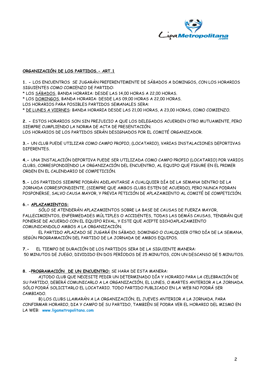

### **ORGANIZACIÓN DE LOS PARTIDOS.- ART.1**

**1. -** LOS ENCUENTROS SE JUGARÁN PREFERENTEMENTE DE SÁBADOS A DOMINGOS, CON LOS HORARIOS SIGUIENTES COMO COMIENZO DE PARTIDO:

\* LOS SÁBADOS, BANDA HORARIA: DESDE LAS 14,00 HORAS A 22,00 HORAS.

\* LOS DOMINGOS, BANDA HORARIA: DESDE LAS 09,00 HORAS A 22,00 HORAS.

LOS HORARIOS PARA POSIBLES PARTIDOS SEMANALES SERA:

\* DE LUNES A VIERNES: BANDA HORARIA DESDE LAS 21,00 HORAS, A 23,00 HORAS, COMO COMIENZO.

**2. -** ESTOS HORARIOS SON SIN PREJUICIO A QUE LOS DELEGADOS ACUERDEN OTRO MUTUAMENTE, PERO SIEMPRE CUMPLIENDO LA NORMA DE ACTA DE PRESENTACIÓN. LOS HORARIOS DE LOS PARTIDOS SERÁN DESIGNADOS POR EL COMITÉ ORGANIZADOR.

**3.-** UN CLUB PUEDE UTILIZAR COMO CAMPO PROPIO, (LOCATARIO), VARIAS INSTALACIONES DEPORTIVAS DIFERENTES.

**4.-** UNA INSTALACIÓN DEPORTIVA PUEDE SER UTILIZADA COMO CAMPO PROPIO (LOCATARIO) POR VARIOS CLUBS, CORRESPONDIENDO LA ORGANIZACIÓN DEL ENCUENTRO, AL EQUIPO QUE FIGURE EN EL PRIMER ORDEN EN EL CALENDARIO DE COMPETICIÓN.

**5.-** LOS PARTIDOS SIEMPRE PODRÁN ADELANTARSE A CUALQUIER DÍA DE LA SEMANA DENTRO DE LA JORNADA CORRESPONDIENTE, (SIEMPRE QUE AMBOS CLUBS ESTEN DE ACUERDO), PERO NUNCA PODRAN POSPONERSE, SALVO CAUSA MAYOR, Y PREVIA PETICIÓN DE APLAZAMIENTO AL COMITÉ DE COMPETICIÓN.

#### **6.- APLAZAMIENTOS:**

SÓLO SE ATENDERÁN APLAZAMIENTOS SOBRE LA BASE DE CAUSAS DE FUERZA MAYOR, FALLECIMIENTOS, ENFERMEDADES MÚLTIPLES O ACCIDENTES, TODAS LAS DEMÁS CAUSAS, TENDRÁN QUE PONERSE DE ACUERDO CON EL EQUIPO RIVAL, Y ESTE QUE ACEPTE DICHOAPLAZAMIENTO COMUNICANDOLO AMBOS A LA ORGANIZACIÓN.

EL PARTIDO APLAZADO SE JUGARÁ EN SÁBADO, DOMINGO O CUALQUIER OTRO DÍA DE LA SEMANA, SEGÚN PROGRAMACIÓN DEL PARTIDO DE LA JORNADA DE AMBOS EQUIPOS.

**7.-** EL TIEMPO DE DURACIÓN DE LOS PARTIDOS SERA DE LA SIGUIENTE MANERA: 50 MINUTOS DE JUEGO, DIVIDIDO EN DOS PERÍODOS DE 25 MINUTOS, CON UN DESCANSO DE 5 MINUTOS.

#### **8. -PROGRAMACIÓN DE UN ENCUENTRO:** SE HARA DE ESTA MANERA:

A)TODO CLUB QUE NECESITE PEDIR UN DETERMINADO DÍA Y HORARIO PARA LA CELEBRACIÓN DE SU PARTIDO, DEBERÁ COMUNICARLO A LA ORGANIZACIÓN, EL LUNES, O MARTES ANTERIOR A LA JORNADA. SÓLO PODRÁ SOLICITARLO EL LOCATARIO. TODO PARTIDO PUBLICADO EN LA WEB NO PODRÁ SER CAMBIADO.

B) LOS CLUBS LLAMARÁN A LA ORGANIZACIÓN, EL JUEVES ANTERIOR A LA JORNADA, PARA CONFIRMAR HORARIO, DIA Y CAMPO DE SU PARTIDO, TAMBIÉN SE PODRA VER EL HORARIO DEL MISMO EN LA WEB: **[www.ligametropolitana.com](http://www.ligametropolitana.com/)**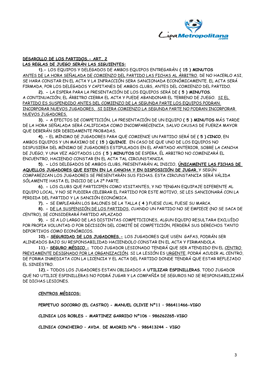

#### **DESAROLLO DE LOS PARTIDOS.- ART. 2 LAS REGLAS DE JUEGO SERÁN LAS SIGUIENTES:**

**1).-** LOS EQUIPOS Y DELEGADOS DE AMBOS EQUIPOS ENTREGARÁN **( 15 ) MINUTOS** ANTES DE LA HORA SEÑALADA DE COMIENZO DEL PARTIDO LAS FICHAS AL ÁRBITRO, DE NO HACERLO ASI, SE HARA CONSTAR EN EL ACTA Y LA INFRACCIÓN SERA SANCIONADA ECONÓMICAMENTE. EL ACTA SERÁ FIRMADA, POR LOS DELEGADOS Y CAPITANES DE AMBOS CLUBS, ANTES DEL COMIENZO DEL PARTIDO.

**2). -** LA ESPERA PARA LA PRESENTACIÓN DE LOS EQUIPOS SERÁ DE **( 5 ) MINUTOS**. A CONTINUACIÓN, EL ÁRBITRO CIERRA EL ACTA Y PUEDE ABANDONAR EL TERRENO DE JUEGO. SI EL PARTIDO ES SUSPENDIDO ANTES DEL COMIENZO DE LA SEGUNDA PARTE LOS EQUIPOS PODRAN INCORPORAR NUEVOS JUGADORES, SI DIERA COMIENZO LA SEGUNDA PARTE NO PODRAN INCORPORAR NUEVOS JUGADORES.

**3). -** A EFECTOS DE COMPETICIÓN, LA PRESENTACIÓN DE UN EQUIPO **( 5 ) MINUTOS** MÁS TARDE DE LA HORA SEÑALADA SERÁ CALIFICADA COMO INCOMPARECENCIA, SALVO CAUSAS DE FUERZA MAYOR QUE DEBERÁN SER DEBIDAMENTE PROBADAS.

**4). –** EL MÍNIMO DE JUGADORES PARA QUE COMIENCE UN PARTIDO SERÁ DE **( 5 ) CINCO**, EN AMBOS EQUIPOS Y UN MÁXIMO DE **( 15 ) QUINCE**. EN CASO DE QUE UNO DE LOS EQUIPOS NO DISPUSIERA DEL MÍNIMO DE JUGADORES ESTIPULADOS EN EL APARTADO ANTERIOR, SOBRE LA CANCHA DE JUEGO, Y UNA VEZ AGOTADOS LOS **( 5 ) MINUTOS** DE ESPERA, ÉL ARBITRO NO COMENZARÁ EL ENCUENTRO, HACIENDO CONSTAR EN EL ACTA TAL CIRCUNSTANCIA.

**5). -** LOS DELEGADOS DE AMBOS CLUBS, PRESENTARÁN AL INICIO, **ÚNICAMENTE LAS FICHAS DE AQUELLOS JUGADORES QUE ESTEN EN LA CANCHA Y EN DISPOSICIÓN DE JUGAR** , Y SEGÚN COMPAREZCAN LOS JUGADORES SE PRESENTARÁN SUS FICHAS. ESTA CIRCUNSTANCIA SERÁ VÁLIDA SÓLAMENTE HASTA EL INICIO DE LA 2ª PARTE.

**6). -** LOS CLUBS QUE PARTICIPEN COMO VISITANTES, Y NO TENGAN EQUIPAJE DIFERENTE AL EQUIPO LOCAL, Y NO SE PUDIERA CELEBRAR EL PARTIDO POR ESTE MOTIVO, SE LES SANCIONARÁ CON LA PERDIDA DEL PARTIDO Y LA SANCIÓN ECONÓMICA.

**7). -** SE EMPLEARÁN LOS BALONES DE LA TALLA **( 4 )** FUESE CUAL FUESE SU MARCA.

**8). -** DE LA SUSPENSIÓN DE LOS PARTIDOS, CUANDO UN PARTIDO NO SE EMPIECE (NO SE SACA DE CENTRO), SE CONSIDERARÁ PARTIDO APLAZADO

**9). -** SI A LO LARGO DE LAS DISTINTAS COMPETICIONES, ALGUN EQUIPO RESULTARA EXCLUÍDO POR PROPIA VOLUNTAD O POR DECISIÓN DEL COMITÉ DE COMPETICIÓN, PERDERÁ SUS DERECHOS TANTO DEPORTIVOS COMO ECONÓMICOS.

**10).- SEGURIDAD DE LOS JUGADORES.-** LOS JUGADORES QUE USEN GAFAS, PODRÁN SER ALINEADOS BAJO SU RESPONSABILIDAD HACIENDOLO CONSTAR EN EL ACTA Y FIRMANDOLA.

**11).– SEGURO MÉDICO.-** TODO JUGADOR LESIONADO TENDRÁ QUE SER ATENDIDO EN EL CENTRO PREVIAMENTE DESIGNADO POR LA ORGANIZACIÓN. SI LA LESIÓN ES URGENTE, PODRÁ ACUDIR AL CENTRO, DE FORMA INMEDIATA CON LA LICENCIA Y EL ACTA DEL PARTIDO DONDE TENDRÁ QUE ESTAR REFLEJADO EL SINIESTRO.

**12).-** TODOS LOS JUGADORES ESTAN OBLIGADOS A **UTILIZAR ESPINILLERAS**. TODO JUGADOR QUE NO UTILICE ESPINILLERAS NO PODRÁ JUGAR Y LA COMPAÑÍA DE SEGUROS NO SE RESPONSABILIZARÁ DE DICHAS LESIONES.

#### **CENTROS MÉDICOS:**

**PERPETUO SOCORRO (EL CASTRO) - MANUEL OLIVIE Nº11 – 986411466-VIGO**

**CLINICA LOS ROBLES - MARTINEZ GARRIDO Nº106 – 986262265-VIGO**

**CLINICA CONCHEIRO – AVDA. DE MADRID Nº6 – 986413244 - VIGO**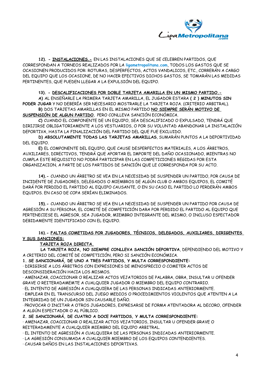

**12). - INSTALACIONES.-** EN LAS INSTALACIONES QUE SE CELEBREN PARTIDOS, QUE CORRESPONDAN A TORNEOS REALIZADOS POR LA **ligametropolitana.com**, TODOS LOS GASTOS QUE SE OCASIONEN PRODUCIDOS POR: ROTURAS, DESPERFECTOS, ACTOS VANDALICOS, ETC., CORRERÁN A CARGO DEL EQUIPO QUE LOS OCASIONE, DE NO HACER EFECTIVOS DICHOS GASTOS, SE TOMARÁN LAS MEDIDAS PERTINENTES, QUE PUEDEN LLEGAR A LA EXPULSIÓN DEL EQUIPO.

#### **13). - DESCALIFICACIONES POR DOBLE TARJETA AMARILLA EN UN MISMO PARTIDO.-**

**A)** AL ENSEÑARLE LA PRIMERA TARJETA AMARILLA, EL JUGADOR ESTARA **( 2 ) MINUTOS SIN PODER JUGAR** Y NO DEBERÍA SER NECESARIO MOSTRARLE LA TARJETA ROJA. (CRITERIO ARBITRAL).

**B)** DOS TARJETAS AMARILLAS EN EL MISMO PARTIDO **NO SIEMPRE SERÁN MOTIVO DE SUSPENSIÓN DE ALGUN PARTIDO.** PERO CONLLEVA SANCIÓN ECONÓMICA.

**C)** CUANDO EL COMPONENTE DE UN EQUIPO, SEA DESCALIFICADO O EXPULSADO, TENDRÁ QUE DIRIJIRSE OBLIGATORIAMENTE A LOS VESTUARIOS, O POR SU VOLUNTAD ABANDONAR LA INSTALACIÓN DEPORTIVA, HASTA LA FINALIZACIÓN DEL PARTIDO DEL QUE FUE EXCLUIDO.

**D) ABSOLUTAMENTE TODAS LAS TARJETAS AMARILLAS**, SUMARÁN PUNTOS A LA DEPORTIVIDAD DEL EQUIPO.

**E)** EL COMPONENTE DEL EQUIPO, QUE CAUSE DESPERFECTOS MATERIALES, A LOS ÁRBITROS, AUXILIARES, DIRECTIVOS, TENDRÁ QUE APORTAR EL IMPORTE DEL DAÑO OCASIONADO, MIENTRAS NO CUMPLA ESTE REQUISITO NO PODRÁ PARTICIPAR EN LAS COMPETICIONES REGIDAS POR ESTA ORGANIZACION, A PARTE DE LOS PARTIDOS DE SANCIÓN QUE LE CORRESPONDA POR SU ACTO.

**14).-** CUANDO UN ÁRBITRO SE VEA EN LA NECESIDAD DE SUSPENDER UN PARTIDO, POR CAUSA DE INCIDENTE DE JUGADORES, DELEGADOS O MIEMBROS DE ALGÚN CLUB O AMBOS EQUIPOS, EL COMITÉ DARÁ POR PERDIDO EL PARTIDO AL EQUIPO CAUSANTE, O EN SU CASO EL PARTIDO LO PERDERÁN AMBOS EQUIPOS. EN CASO DE COPA SERÍAN ELIMINADOS.

**15).-** CUANDO UN ÁRBITRO SE VEA EN LA NECESIDAD DE SUSPENDER UN PARTIDO POR CAUSA DE AGRESIÓN A SU PERSONA, EL COMITÉ DE COMPETICIÓN DARA POR PERDIDO EL PARTIDO AL EQUIPO QUE PERTENECIESE EL AGRESOR, SEA JUGADOR, MIEMBRO INTEGRANTE DEL MISMO, O INCLUSO ESPECTADOR DEBIDAMENTE IDENTIFICADO CON EL EQUIPO.

# **16).- FALTAS COMETIDAS POR JUGADORES, TÉCNICOS, DELEGADOS, AUXILIARES, DIRIGENTES Y SUS SANCIONES:**

# **TARJETA ROJA DIRECTA.**

 **LA TARJETA ROJA, NO SIEMPRE CONLLEVA SANCIÓN DEPORTIVA**, DEPENDIENDO DEL MOTIVO Y A CRITERIO DEL COMITÉ DE COMPETICIÓN, PERO SI SANCIÓN ECONÓMICA.

**1. SE SANCIONARÁ, DE UNO A TRES PARTIDOS, Y MULTA CORRESPONDIENTE:**

· DIRIGIRSE A LOS ÁRBITROS CON EXPRESIONES DE MENOSPRECIO O COMETER ACTOS DE DESCONSIDERACIÓN HACIA LOS MISMOS.

· AMENAZAR, COACCIONAR O REALIZAR ACTOS VEJATORIOS DE PALABRA, OBRA, INSULTAR U OFENDER GRAVE O REITERADAMEMTE A CUALQUIER JUGADOR O MIEMBRO DEL EQUIPO CONTRARIO.

· EL INTENTO DE AGRESIÓN A CUALQUIERA DE LAS PERSONAS INDICADAS ANTERIORMENTE.

· EMPLEAR EN EL TRANSCURSO DEL JUEGO MEDIOS O PROCEDIMIENTOS VIOLENTOS QUE ATENTEN A LA INTEGRIDAD DE UN JUGADOR SIN CAUSARLE DAÑO.

· PROVOCAR O INCITAR A OTROS JUGADORES, EXPRESARSE DE FORMA ATENTADORA AL DECORO, OFENDER A ALGÚN ESPECTADOR O AL PÚBLICO.

**2. SE SANCIONARÁ, DE CUATRO A DOCE PARTIDOS, Y MULTA CORRESPONDIENTE:**

· AMENAZAR, COACCIONAR O REALIZAR ACTOS VEJATORIOS, INSULTAR U OFENDER GRAVE O REITERADAMENTE A CUALQUIER MIEMBRO DEL EQUIPO ARBITRAL.

· EL INTENTO DE AGRESIÓN A CUALQUIERA DE LAS PERSONAS INDICADAS ANTERIORMENTE.

· LA AGRESIÓN CONSUMADA A CUALQUIER MIEMBRO DE LOS EQUIPOS CONTENDIENTES.

· CAUSAR DAÑOS EN LAS INSTALACIONES DEPORTIVAS.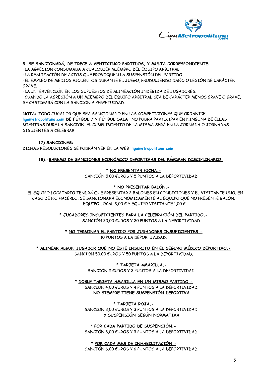

# **3. SE SANCIONARÁ, DE TRECE A VENTICINCO PARTIDOS, Y MULTA CORRESPONDIENTE:**

· LA AGRESIÓN CONSUMADA A CUALQUIER MIEMBRO DEL EQUIPO ARBITRAL

· LA REALIZACIÓN DE ACTOS QUE PROVOQUEN LA SUSPENSIÓN DEL PARTIDO.

· EL EMPLEO DE MEDIOS VIOLENTOS DURANTE EL JUEGO, PRODUCIENDO DAÑO O LESIÓN DE CARÁCTER **GRAVE** 

· LA INTERVENCIÓN EN LOS SUPUESTOS DE ALINEACIÓN INDEBIDA DE JUGADORES.

· CUANDO LA AGRESIÓN A UN MIEMBRO DEL EQUIPO ARBITRAL SEA DE CARÁCTER MENOS GRAVE O GRAVE, SE CASTIGARÁ CON LA SANCIÓN A PERPETUIDAD.

**NOTA:** TODO JUGADOR QUE SEA SANCIONADO EN LAS COMPETICIONES QUE ORGANICE **ligametropolitana.com DE FÚTBOL 7 Y FÚTBOL SALA** , NO PODRÁ PARTICIPAR EN NINGUNA DE ELLAS MIENTRAS DURE LA SANCIÓN. EL CUMPLIMIENTO DE LA MISMA SERÁ EN LA JORNADA O JORNADAS SIGUIENTES A CELEBRAR.

#### **17) SANCIONES:**

DICHAS RESOLUCIONES SE PODRÁN VER EN LA WEB :**ligametropolitana.com**

**18).-BAREMO DE SANCIONES ECONÓMICO DEPORTIVAS DEL RÉGIMEN DISCIPLINARIO:**

#### **\* NO PRESENTAR FICHA.-**

SANCIÓN 5,00 €UROS Y 5 PUNTOS A LA DEPORTIVIDAD.

#### **\* NO PRESENTAR BALÓN.-**

EL EQUIPO LOCATARIO TENDRÁ QUE PRESENTAR 2 BALONES EN CONDICIONES Y EL VISITANTE UNO, EN CASO DE NO HACERLO, SE SANCIONARÁ ECONÓMICAMENTE AL EQUIPO QUE NO PRESENTE BALÓN. EQUIPO LOCAL 3.00  $\epsilon$  Y EQUIPO VISITANTE 1.00  $\epsilon$ 

**\* JUGADORES INSUFICIENTES PARA LA CELEBRACIÓN DEL PARTIDO.-**

SANCIÓN 20,00 €UROS Y 20 PUNTOS A LA DEPORTIVIDAD.

**\* NO TERMINAR EL PARTIDO POR JUGADORES INSUFICIENTES.-** 10 PUNTOS A LA DEPORTIVIDAD.

**\* ALINEAR ALGUN JUGADOR QUE NO ESTE INSCRITO EN EL SEGURO MÉDICO DEPORTIVO.-** SANCIÓN 50,00 €UROS Y 50 PUNTOS A LA DEPORTIVIDAD.

> **\* TARJETA AMARILLA.-** SANCIÓN 2 €UROS Y 2 PUNTOS A LA DEPORTIVIDAD.

**\* DOBLE TARJETA AMARILLA EN UN MISMO PARTIDO.-** SANCIÓN 4,00 €UROS Y 4 PUNTOS A LA DEPORTIVIDAD. **NO SIEMPRE TIENE SUSPENSIÓN DEPORTIVA**

**\* TARJETA ROJA.-** SANCIÓN 3,00 €UROS Y 3 PUNTOS A LA DEPORTIVIDAD. **Y SUSPENSIÓN SEGÚN NORMATIVA**

**\* POR CADA PARTIDO DE SUSPENSIÓN.-** SANCIÓN 3,00 €UROS Y 3 PUNTOS A LA DEPORTIVIDAD.

**\* POR CADA MES DE INHABILITACIÓN.-** SANCIÓN 6,00 €UROS Y 6 PUNTOS A LA DEPORTIVIDAD.